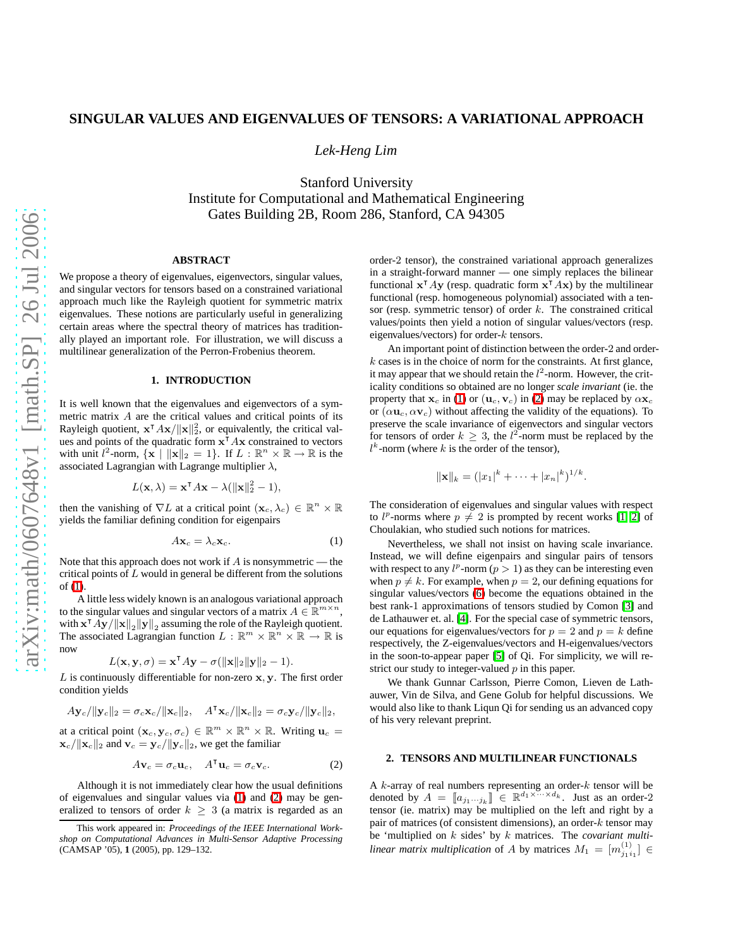# **SINGULAR VALUES AND EIGENVALUES OF TENSORS: A VARIATIONAL APPROACH**

*Lek-Heng Lim*

Stanford University Institute for Computational and Mathematical Engineering Gates Building 2B, Room 286, Stanford, CA 94305

### **ABSTRACT**

We propose a theory of eigenvalues, eigenvectors, singular values, and singular vectors for tensors based on a constrained variational approach much like the Rayleigh quotient for symmetric matrix eigenvalues. These notions are particularly useful in generalizing certain areas where the spectral theory of matrices has traditionally played an important role. For illustration, we will discuss a multilinear generalization of the Perron-Frobenius theorem.

# **1. INTRODUCTION**

It is well known that the eigenvalues and eigenvectors of a symmetric matrix A are the critical values and critical points of its Rayleigh quotient,  $\mathbf{x}^\mathsf{T} A\mathbf{x}/\|\mathbf{x}\|_2^2$ , or equivalently, the critical values and points of the quadratic form  $x^{\dagger} Ax$  constrained to vectors with unit  $l^2$ -norm,  $\{ \mathbf{x} \mid ||\mathbf{x}||_2 = 1 \}$ . If  $L : \mathbb{R}^n \times \mathbb{R} \to \mathbb{R}$  is the associated Lagrangian with Lagrange multiplier  $\lambda$ ,

$$
L(\mathbf{x}, \lambda) = \mathbf{x}^{\mathsf{T}} A \mathbf{x} - \lambda (||\mathbf{x}||_2^2 - 1),
$$

then the vanishing of  $\nabla L$  at a critical point  $(\mathbf{x}_c, \lambda_c) \in \mathbb{R}^n \times \mathbb{R}$ yields the familiar defining condition for eigenpairs

<span id="page-0-0"></span>
$$
A\mathbf{x}_c = \lambda_c \mathbf{x}_c. \tag{1}
$$

Note that this approach does not work if  $A$  is nonsymmetric — the critical points of  $L$  would in general be different from the solutions of [\(1\)](#page-0-0).

A little less widely known is an analogous variational approach to the singular values and singular vectors of a matrix  $A \in \mathbb{R}^{m \times n}$ , with  $\mathbf{x}^\intercal A\mathbf{y}/\|\mathbf{x}\|_2 \|\mathbf{y}\|_2$  assuming the role of the Rayleigh quotient. The associated Lagrangian function  $L : \mathbb{R}^m \times \mathbb{R}^n \times \mathbb{R} \to \mathbb{R}$  is now

$$
L(\mathbf{x}, \mathbf{y}, \sigma) = \mathbf{x}^{\mathsf{T}} A \mathbf{y} - \sigma(||\mathbf{x}||_2 ||\mathbf{y}||_2 - 1).
$$

 $L$  is continuously differentiable for non-zero  $x, y$ . The first order condition yields

$$
A\mathbf{y}_c/\|\mathbf{y}_c\|_2 = \sigma_c\mathbf{x}_c/\|\mathbf{x}_c\|_2, \quad A^{\mathsf{T}}\mathbf{x}_c/\|\mathbf{x}_c\|_2 = \sigma_c\mathbf{y}_c/\|\mathbf{y}_c\|_2,
$$

at a critical point  $(\mathbf{x}_c, \mathbf{y}_c, \sigma_c) \in \mathbb{R}^m \times \mathbb{R}^n \times \mathbb{R}$ . Writing  $\mathbf{u}_c =$  $\mathbf{x}_c/\|\mathbf{x}_c\|_2$  and  $\mathbf{v}_c = \mathbf{y}_c/\|\mathbf{y}_c\|_2$ , we get the familiar

<span id="page-0-1"></span>
$$
A\mathbf{v}_c = \sigma_c \mathbf{u}_c, \quad A^\mathsf{T} \mathbf{u}_c = \sigma_c \mathbf{v}_c. \tag{2}
$$

Although it is not immediately clear how the usual definitions of eigenvalues and singular values via [\(1\)](#page-0-0) and [\(2\)](#page-0-1) may be generalized to tensors of order  $k \geq 3$  (a matrix is regarded as an

order-2 tensor), the constrained variational approach generalizes in a straight-forward manner — one simply replaces the bilinear functional  $x^{\dagger}Ay$  (resp. quadratic form  $x^{\dagger}Ax$ ) by the multilinear functional (resp. homogeneous polynomial) associated with a tensor (resp. symmetric tensor) of order  $k$ . The constrained critical values/points then yield a notion of singular values/vectors (resp. eigenvalues/vectors) for order- $k$  tensors.

An important point of distinction between the order-2 and order $k$  cases is in the choice of norm for the constraints. At first glance, it may appear that we should retain the  $l^2$ -norm. However, the criticality conditions so obtained are no longer *scale invariant* (ie. the property that  $x_c$  in [\(1\)](#page-0-0) or  $(u_c, v_c)$  in [\(2\)](#page-0-1) may be replaced by  $\alpha x_c$ or  $(\alpha \mathbf{u}_c, \alpha \mathbf{v}_c)$  without affecting the validity of the equations). To preserve the scale invariance of eigenvectors and singular vectors for tensors of order  $k \geq 3$ , the  $l^2$ -norm must be replaced by the  $l<sup>k</sup>$ -norm (where k is the order of the tensor),

$$
\|\mathbf{x}\|_{k}=(|x_{1}|^{k}+\cdots+|x_{n}|^{k})^{1/k}.
$$

The consideration of eigenvalues and singular values with respect to  $l^p$ -norms where  $p \neq 2$  is prompted by recent works [\[1,](#page-3-0) [2\]](#page-3-1) of Choulakian, who studied such notions for matrices.

Nevertheless, we shall not insist on having scale invariance. Instead, we will define eigenpairs and singular pairs of tensors with respect to any  $l^p$ -norm  $(p > 1)$  as they can be interesting even when  $p \neq k$ . For example, when  $p = 2$ , our defining equations for singular values/vectors [\(6\)](#page-1-0) become the equations obtained in the best rank-1 approximations of tensors studied by Comon [\[3\]](#page-3-2) and de Lathauwer et. al. [\[4\]](#page-3-3). For the special case of symmetric tensors, our equations for eigenvalues/vectors for  $p = 2$  and  $p = k$  define respectively, the Z-eigenvalues/vectors and H-eigenvalues/vectors in the soon-to-appear paper [\[5\]](#page-3-4) of Qi. For simplicity, we will restrict our study to integer-valued  $p$  in this paper.

We thank Gunnar Carlsson, Pierre Comon, Lieven de Lathauwer, Vin de Silva, and Gene Golub for helpful discussions. We would also like to thank Liqun Qi for sending us an advanced copy of his very relevant preprint.

# **2. TENSORS AND MULTILINEAR FUNCTIONALS**

A  $k$ -array of real numbers representing an order- $k$  tensor will be denoted by  $A = [a_{j_1 \cdots j_k}] \in \mathbb{R}^{d_1 \times \cdots \times d_k}$ . Just as an order-2 tensor (ie. matrix) may be multiplied on the left and right by a pair of matrices (of consistent dimensions), an order- $k$  tensor may be 'multiplied on k sides' by k matrices. The *covariant multilinear matrix multiplication* of A by matrices  $M_1 = [m_{j_1 i_1}^{(1)}] \in$ 

This work appeared in: *Proceedings of the IEEE International Workshop on Computational Advances in Multi-Sensor Adaptive Processing* (CAMSAP '05), **1** (2005), pp. 129–132.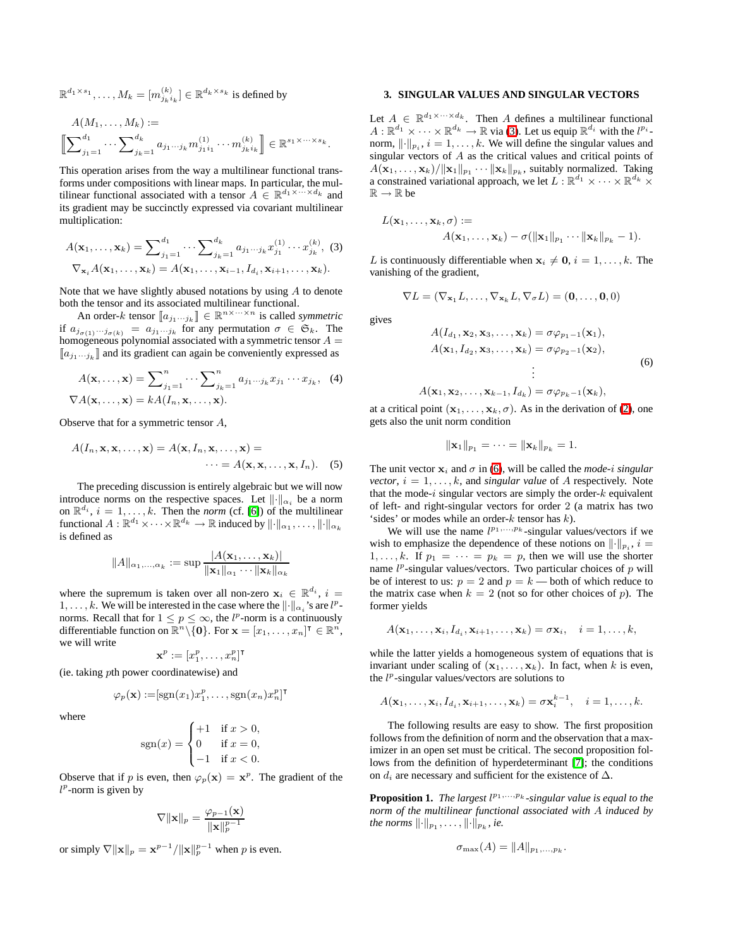$$
\mathbb{R}^{d_1 \times s_1}, \ldots, M_k = [m_{j_k i_k}^{(k)}] \in \mathbb{R}^{d_k \times s_k} \text{ is defined by }
$$

$$
A(M_1, \ldots, M_k) :=
$$
  

$$
\left[ \sum_{j_1=1}^{d_1} \cdots \sum_{j_k=1}^{d_k} a_{j_1 \cdots j_k} m_{j_1 i_1}^{(1)} \cdots m_{j_k i_k}^{(k)} \right] \in \mathbb{R}^{s_1 \times \cdots \times s_k}.
$$

This operation arises from the way a multilinear functional transforms under compositions with linear maps. In particular, the multilinear functional associated with a tensor  $A \in \mathbb{R}^{d_1 \times \cdots \times d_k}$  and its gradient may be succinctly expressed via covariant multilinear multiplication:

$$
A(\mathbf{x}_1, ..., \mathbf{x}_k) = \sum_{j_1=1}^{d_1} \cdots \sum_{j_k=1}^{d_k} a_{j_1 \cdots j_k} x_{j_1}^{(1)} \cdots x_{j_k}^{(k)}, \quad (3)
$$

$$
\nabla_{\mathbf{x}_i} A(\mathbf{x}_1, ..., \mathbf{x}_k) = A(\mathbf{x}_1, ..., \mathbf{x}_{i-1}, I_{d_i}, \mathbf{x}_{i+1}, ..., \mathbf{x}_k).
$$

Note that we have slightly abused notations by using  $A$  to denote both the tensor and its associated multilinear functional.

An order-k tensor  $[a_{j_1\cdots j_k}] \in \mathbb{R}^{n \times \cdots \times n}$  is called *symmetric* if  $a_{j_{\sigma(1)}\cdots j_{\sigma(k)}} = a_{j_1\cdots j_k}$  for any permutation  $\sigma \in \mathfrak{S}_k$ . The homogeneous polynomial associated with a symmetric tensor  $A =$  $\llbracket a_{j_1\cdots j_k} \rrbracket$  and its gradient can again be conveniently expressed as

$$
A(\mathbf{x},...,\mathbf{x}) = \sum_{j_1=1}^n \cdots \sum_{j_k=1}^n a_{j_1...j_k} x_{j_1} \cdots x_{j_k}, \quad (4)
$$

$$
\nabla A(\mathbf{x},...,\mathbf{x}) = k A(I_n, \mathbf{x},...,\mathbf{x}).
$$

Observe that for a symmetric tensor A,

$$
A(I_n, \mathbf{x}, \mathbf{x}, \dots, \mathbf{x}) = A(\mathbf{x}, I_n, \mathbf{x}, \dots, \mathbf{x}) = \dots = A(\mathbf{x}, \mathbf{x}, \dots, \mathbf{x}, I_n). \quad (5)
$$

The preceding discussion is entirely algebraic but we will now introduce norms on the respective spaces. Let  $\lVert \cdot \rVert_{\alpha_i}$  be a norm on  $\mathbb{R}^{d_i}$ ,  $i = 1, ..., k$ . Then the *norm* (cf. [\[6\]](#page-3-5)) of the multilinear functional  $A:\mathbb{R}^{d_1}\times\cdots\times\mathbb{R}^{d_k}\to\mathbb{R}$  induced by  $\lVert\cdot\rVert_{\alpha_1},\ldots,\lVert\cdot\rVert_{\alpha_k}$ is defined as

$$
||A||_{\alpha_1,...,\alpha_k} := \sup \frac{|A(\mathbf{x}_1,...,\mathbf{x}_k)|}{\|\mathbf{x}_1\|_{\alpha_1}\cdots\|\mathbf{x}_k\|_{\alpha_k}}
$$

where the supremum is taken over all non-zero  $x_i \in \mathbb{R}^{d_i}$ ,  $i =$  $1, \ldots, k$ . We will be interested in the case where the  $\lVert \cdot \rVert_{\alpha_i}$ 's are  $l^p$ norms. Recall that for  $1 \le p \le \infty$ , the l<sup>p</sup>-norm is a continuously differentiable function on  $\mathbb{R}^n \setminus \{\mathbf{0}\}$ . For  $\mathbf{x} = [x_1, \dots, x_n]^\intercal \in \mathbb{R}^n$ , we will write

$$
\mathbf{x}^p:=[x_1^p,\ldots,x_n^p]^\intercal
$$

(ie. taking pth power coordinatewise) and

$$
\varphi_p(\mathbf{x}) := [\text{sgn}(x_1)x_1^p, \dots, \text{sgn}(x_n)x_n^p]^\mathsf{T}
$$

where

$$
sgn(x) = \begin{cases} +1 & \text{if } x > 0, \\ 0 & \text{if } x = 0, \\ -1 & \text{if } x < 0. \end{cases}
$$

Observe that if p is even, then  $\varphi_p(\mathbf{x}) = \mathbf{x}^p$ . The gradient of the  $l^p$ -norm is given by

$$
\nabla \|\mathbf{x}\|_p = \frac{\varphi_{p-1}(\mathbf{x})}{\|\mathbf{x}\|_p^{p-1}}
$$

or simply  $\nabla ||\mathbf{x}||_p = \mathbf{x}^{p-1}/||\mathbf{x}||_p^{p-1}$  when p is even.

#### **3. SINGULAR VALUES AND SINGULAR VECTORS**

Let  $A \in \mathbb{R}^{d_1 \times \cdots \times d_k}$ . Then A defines a multilinear functional  $A: \mathbb{R}^{d_1} \times \cdots \times \mathbb{R}^{d_k} \to \mathbb{R}$  via [\(3\)](#page-1-1). Let us equip  $\mathbb{R}^{d_i}$  with the  $l^{p_i}$ norm,  $\lVert \cdot \rVert_{p_i}$ ,  $i = 1, \ldots, k$ . We will define the singular values and singular vectors of A as the critical values and critical points of  $A(\mathbf{x}_1,\ldots,\mathbf{x}_k)/\|\mathbf{x}_1\|_{p_1}\cdots\|\mathbf{x}_k\|_{p_k}$ , suitably normalized. Taking a constrained variational approach, we let  $L : \mathbb{R}^{d_1} \times \cdots \times \mathbb{R}^{d_k} \times$  $\mathbb{R} \to \mathbb{R}$  be

$$
L(\mathbf{x}_1,\ldots,\mathbf{x}_k,\sigma) := A(\mathbf{x}_1,\ldots,\mathbf{x}_k) - \sigma(\|\mathbf{x}_1\|_{p_1}\cdots\|\mathbf{x}_k\|_{p_k} - 1).
$$

<span id="page-1-1"></span>L is continuously differentiable when  $x_i \neq 0$ ,  $i = 1, \ldots, k$ . The vanishing of the gradient,

$$
\nabla L = (\nabla_{\mathbf{x}_1} L, \dots, \nabla_{\mathbf{x}_k} L, \nabla_{\sigma} L) = (\mathbf{0}, \dots, \mathbf{0}, 0)
$$

<span id="page-1-2"></span><span id="page-1-0"></span>gives

$$
A(I_{d_1}, \mathbf{x}_2, \mathbf{x}_3, \dots, \mathbf{x}_k) = \sigma \varphi_{p_1 - 1}(\mathbf{x}_1),
$$
  
\n
$$
A(\mathbf{x}_1, I_{d_2}, \mathbf{x}_3, \dots, \mathbf{x}_k) = \sigma \varphi_{p_2 - 1}(\mathbf{x}_2),
$$
  
\n
$$
\vdots
$$
\n(6)

 $A(\mathbf{x}_1,\mathbf{x}_2,\ldots,\mathbf{x}_{k-1},I_{d_k})=\sigma\varphi_{p_k-1}(\mathbf{x}_k),$ 

at a critical point  $(x_1, \ldots, x_k, \sigma)$ . As in the derivation of [\(2\)](#page-0-1), one gets also the unit norm condition

$$
\|\mathbf{x}_1\|_{p_1}=\cdots=\|\mathbf{x}_k\|_{p_k}=1.
$$

<span id="page-1-3"></span>The unit vector  $x_i$  and  $\sigma$  in [\(6\)](#page-1-0), will be called the *mode-i singular vector*,  $i = 1, \ldots, k$ , and *singular value* of A respectively. Note that the mode- $i$  singular vectors are simply the order- $k$  equivalent of left- and right-singular vectors for order 2 (a matrix has two 'sides' or modes while an order- $k$  tensor has  $k$ ).

We will use the name  $l^{p_1,...,p_k}$ -singular values/vectors if we wish to emphasize the dependence of these notions on  $\lVert \cdot \rVert_p$ ,  $i =$  $1, \ldots, k$ . If  $p_1 = \cdots = p_k = p$ , then we will use the shorter name  $l^p$ -singular values/vectors. Two particular choices of  $p$  will be of interest to us:  $p = 2$  and  $p = k$  — both of which reduce to the matrix case when  $k = 2$  (not so for other choices of p). The former yields

$$
A(\mathbf{x}_1,\ldots,\mathbf{x}_i,I_{d_i},\mathbf{x}_{i+1},\ldots,\mathbf{x}_k)=\sigma\mathbf{x}_i, \quad i=1,\ldots,k,
$$

while the latter yields a homogeneous system of equations that is invariant under scaling of  $(x_1, \ldots, x_k)$ . In fact, when k is even, the  $l^p$ -singular values/vectors are solutions to

$$
A(\mathbf{x}_1,\ldots,\mathbf{x}_i,I_{d_i},\mathbf{x}_{i+1},\ldots,\mathbf{x}_k)=\sigma\mathbf{x}_i^{k-1},\quad i=1,\ldots,k.
$$

The following results are easy to show. The first proposition follows from the definition of norm and the observation that a maximizer in an open set must be critical. The second proposition follows from the definition of hyperdeterminant [\[7\]](#page-3-6); the conditions on  $d_i$  are necessary and sufficient for the existence of  $\Delta$ .

**Proposition 1.** The largest  $l^{p_1,...,p_k}$ -singular value is equal to the *norm of the multilinear functional associated with* A *induced by the norms*  $\lVert \cdot \rVert_{p_1}, \ldots, \lVert \cdot \rVert_{p_k},$  *ie.* 

$$
\sigma_{\max}(A) = ||A||_{p_1,\ldots,p_k}.
$$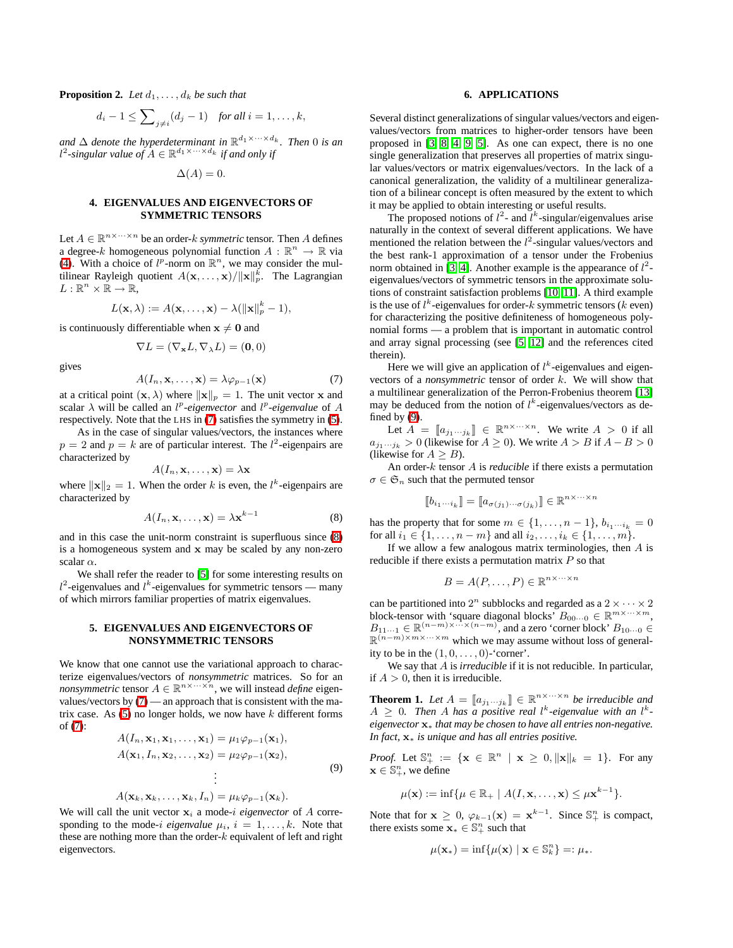**Proposition 2.** Let  $d_1, \ldots, d_k$  be such that

$$
d_i-1 \leq \sum\nolimits_{j \neq i} (d_j-1) \quad \text{for all } i = 1, \ldots, k,
$$

and  $\Delta$  *denote the hyperdeterminant in*  $\mathbb{R}^{d_1 \times \cdots \times d_k}$ *. Then* 0 *is an*  $l^2$ -singular value of  $A \in \mathbb{R}^{d_1 \times \cdots \times d_k}$  if and only if

$$
\Delta(A) = 0.
$$

# **4. EIGENVALUES AND EIGENVECTORS OF SYMMETRIC TENSORS**

Let  $A \in \mathbb{R}^{n \times \cdots \times n}$  be an order-*k symmetric* tensor. Then A defines a degree-k homogeneous polynomial function  $A: \mathbb{R}^n \to \mathbb{R}$  via [\(4\)](#page-1-2). With a choice of  $l^p$ -norm on  $\mathbb{R}^n$ , we may consider the multilinear Rayleigh quotient  $A(\mathbf{x},...,\mathbf{x})/||\mathbf{x}||_p^k$ . The Lagrangian  $L: \mathbb{R}^n \times \mathbb{R} \to \mathbb{R}$ ,

$$
L(\mathbf{x},\lambda) := A(\mathbf{x},\ldots,\mathbf{x}) - \lambda(||\mathbf{x}||_p^k - 1),
$$

is continuously differentiable when  $x \neq 0$  and

$$
\nabla L=(\nabla_{\mathbf{x}} L,\nabla_{\lambda} L)=(\mathbf{0},0)
$$

<span id="page-2-0"></span>gives

$$
A(I_n, \mathbf{x}, \dots, \mathbf{x}) = \lambda \varphi_{p-1}(\mathbf{x}) \tag{7}
$$

at a critical point  $(\mathbf{x}, \lambda)$  where  $\|\mathbf{x}\|_p = 1$ . The unit vector x and scalar  $\lambda$  will be called an  $l^p$ -eigenvector and  $l^p$ -eigenvalue of A respectively. Note that the LHS in [\(7\)](#page-2-0) satisfies the symmetry in [\(5\)](#page-1-3).

As in the case of singular values/vectors, the instances where  $p = 2$  and  $p = k$  are of particular interest. The  $l^2$ -eigenpairs are characterized by

$$
A(I_n, \mathbf{x}, \dots, \mathbf{x}) = \lambda \mathbf{x}
$$

<span id="page-2-1"></span>where  $\|\mathbf{x}\|_2 = 1$ . When the order k is even, the  $l^k$ -eigenpairs are characterized by

$$
A(I_n, \mathbf{x}, \dots, \mathbf{x}) = \lambda \mathbf{x}^{k-1}
$$
 (8)

and in this case the unit-norm constraint is superfluous since [\(8\)](#page-2-1) is a homogeneous system and x may be scaled by any non-zero scalar  $\alpha$ .

We shall refer the reader to [\[5\]](#page-3-4) for some interesting results on  $l^2$ -eigenvalues and  $l^k$ -eigenvalues for symmetric tensors — many of which mirrors familiar properties of matrix eigenvalues.

### **5. EIGENVALUES AND EIGENVECTORS OF NONSYMMETRIC TENSORS**

<span id="page-2-2"></span>We know that one cannot use the variational approach to characterize eigenvalues/vectors of *nonsymmetric* matrices. So for an *nonsymmetric* tensor  $A \in \mathbb{R}^{n \times \cdots \times n}$ , we will instead *define* eigenvalues/vectors by [\(7\)](#page-2-0) — an approach that is consistent with the matrix case. As  $(5)$  no longer holds, we now have k different forms of [\(7\)](#page-2-0):

$$
A(I_n, \mathbf{x}_1, \mathbf{x}_1, \dots, \mathbf{x}_1) = \mu_1 \varphi_{p-1}(\mathbf{x}_1),
$$
  
\n
$$
A(\mathbf{x}_1, I_n, \mathbf{x}_2, \dots, \mathbf{x}_2) = \mu_2 \varphi_{p-1}(\mathbf{x}_2),
$$
  
\n
$$
\vdots
$$
  
\n
$$
A(\mathbf{x}_1, \mathbf{y}_1, \dots, \mathbf{y}_n, I_n) = \mu_1 \varphi_{p-1}(\mathbf{x}_1).
$$
 (9)

$$
A(\mathbf{x}_k,\mathbf{x}_k,\ldots,\mathbf{x}_k,I_n)=\mu_k\varphi_{p-1}(\mathbf{x}_k).
$$

We will call the unit vector  $x_i$  a mode-i *eigenvector* of A corresponding to the mode-i *eigenvalue*  $\mu_i$ ,  $i = 1, \ldots, k$ . Note that these are nothing more than the order- $k$  equivalent of left and right eigenvectors.

#### **6. APPLICATIONS**

Several distinct generalizations of singular values/vectors and eigenvalues/vectors from matrices to higher-order tensors have been proposed in [\[3,](#page-3-2) [8,](#page-3-7) [4,](#page-3-3) [9,](#page-3-8) [5\]](#page-3-4). As one can expect, there is no one single generalization that preserves all properties of matrix singular values/vectors or matrix eigenvalues/vectors. In the lack of a canonical generalization, the validity of a multilinear generalization of a bilinear concept is often measured by the extent to which it may be applied to obtain interesting or useful results.

The proposed notions of  $l^2$ - and  $l^k$ -singular/eigenvalues arise naturally in the context of several different applications. We have mentioned the relation between the  $l^2$ -singular values/vectors and the best rank-1 approximation of a tensor under the Frobenius norm obtained in [\[3,](#page-3-2) [4\]](#page-3-3). Another example is the appearance of  $l^2$ eigenvalues/vectors of symmetric tensors in the approximate solutions of constraint satisfaction problems [\[10,](#page-3-9) [11\]](#page-3-10). A third example is the use of  $l^k$ -eigenvalues for order-k symmetric tensors (k even) for characterizing the positive definiteness of homogeneous polynomial forms — a problem that is important in automatic control and array signal processing (see [\[5,](#page-3-4) [12\]](#page-3-11) and the references cited therein).

Here we will give an application of  $l^k$ -eigenvalues and eigenvectors of a *nonsymmetric* tensor of order k. We will show that a multilinear generalization of the Perron-Frobenius theorem [\[13\]](#page-3-12) may be deduced from the notion of  $l^k$ -eigenvalues/vectors as defined by  $(9)$ .

Let  $A = [a_{j_1 \cdots j_k}] \in \mathbb{R}^{n \times \cdots \times n}$ . We write  $A > 0$  if all  $a_{j_1\cdots j_k} > 0$  (likewise for  $A \ge 0$ ). We write  $A > B$  if  $A - B > 0$ (likewise for  $A \geq B$ ).

An order-k tensor A is *reducible* if there exists a permutation  $\sigma \in \mathfrak{S}_n$  such that the permuted tensor

$$
[\![b_{i_1\cdots i_k}]\!] = [\![a_{\sigma(j_1)\cdots \sigma(j_k)}]\!] \in \mathbb{R}^{n \times \cdots \times n}
$$

has the property that for some  $m \in \{1, \ldots, n-1\}, b_{i_1 \cdots i_k} = 0$ for all  $i_1 \in \{1, ..., n-m\}$  and all  $i_2, ..., i_k \in \{1, ..., m\}$ .

If we allow a few analogous matrix terminologies, then  $A$  is reducible if there exists a permutation matrix  $P$  so that

$$
B = A(P, \dots, P) \in \mathbb{R}^{n \times \dots \times n}
$$

can be partitioned into  $2^n$  subblocks and regarded as a  $2 \times \cdots \times 2^n$ block-tensor with 'square diagonal blocks'  $B_{00\cdots0} \in \mathbb{R}^{m \times \cdots \times m}$ ,  $B_{11\cdots1} \in \mathbb{R}^{(n-m)\times\cdots\times(n-m)}$ , and a zero 'corner block'  $B_{10\cdots0} \in$  $\mathbb{R}^{(n-m)\times m\times \cdots \times m}$  which we may assume without loss of generality to be in the  $(1, 0, \ldots, 0)$ -'corner'.

We say that A is *irreducible* if it is not reducible. In particular, if  $A > 0$ , then it is irreducible.

**Theorem 1.** Let  $A = [a_{j_1...j_k}] \in \mathbb{R}^{n \times \cdots \times n}$  be irreducible and  $A \geq 0$ . Then A has a positive real l<sup>k</sup>-eigenvalue with an l<sup>k</sup>*eigenvector* x<sup>∗</sup> *that may be chosen to have all entries non-negative. In fact,* x<sup>∗</sup> *is unique and has all entries positive.*

*Proof.* Let  $\mathbb{S}^n_+ := \{ \mathbf{x} \in \mathbb{R}^n \mid \mathbf{x} \geq 0, ||\mathbf{x}||_k = 1 \}.$  For any  $\mathbf{x} \in \mathbb{S}_{+}^{n}$ , we define

$$
\mu(\mathbf{x}) := \inf \{ \mu \in \mathbb{R}_+ \mid A(I, \mathbf{x}, \dots, \mathbf{x}) \leq \mu \mathbf{x}^{k-1} \}.
$$

Note that for  $\mathbf{x} \geq 0$ ,  $\varphi_{k-1}(\mathbf{x}) = \mathbf{x}^{k-1}$ . Since  $\mathbb{S}^n_+$  is compact, there exists some  $\mathbf{x}_* \in \mathbb{S}_+^n$  such that

$$
\mu(\mathbf{x}_{*}) = \inf \{ \mu(\mathbf{x}) \mid \mathbf{x} \in \mathbb{S}_{k}^{n} \} =: \mu_{*}.
$$